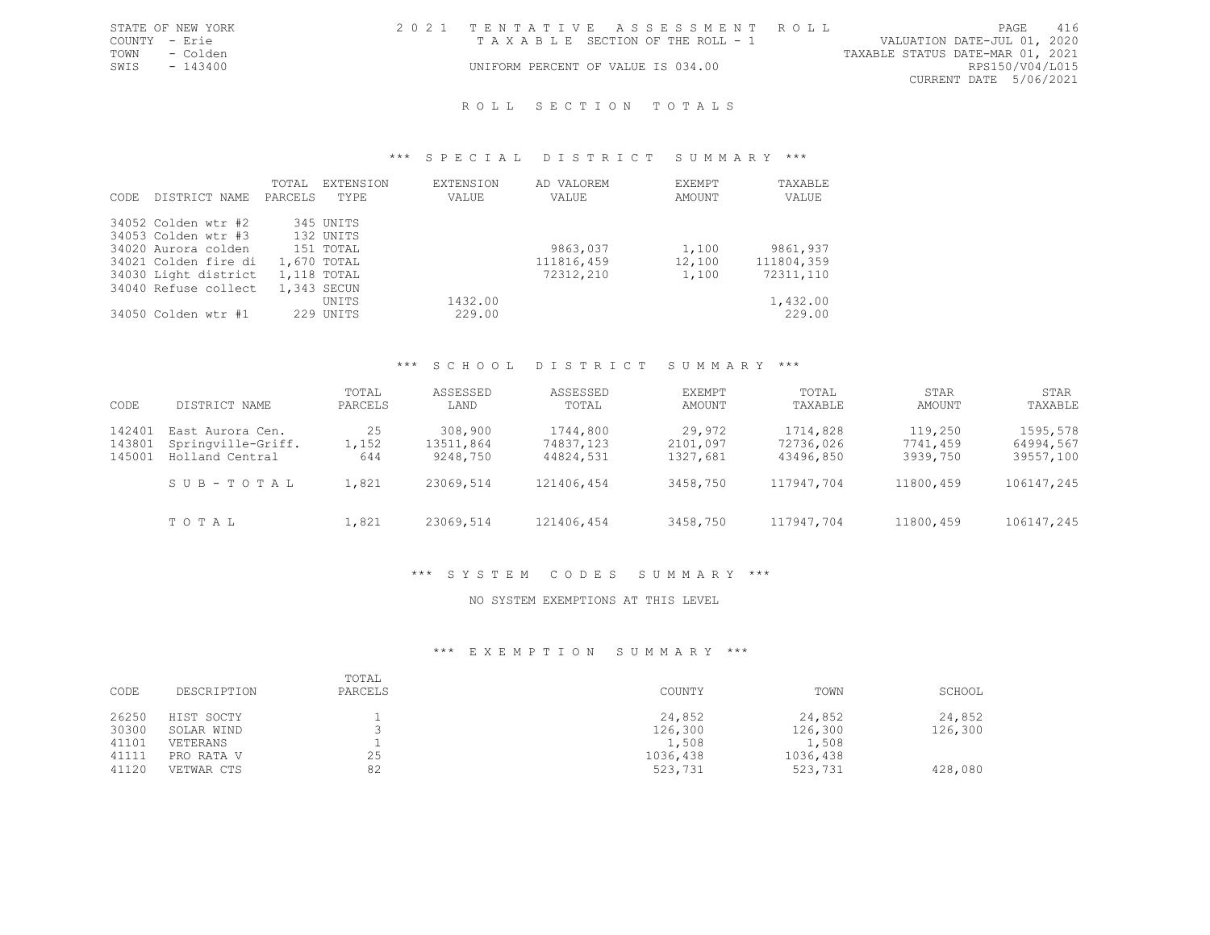|               | STATE OF NEW YORK | 2021 TENTATIVE ASSESSMENT ROLL     |  |                                  |                        | PAGE | 416 |
|---------------|-------------------|------------------------------------|--|----------------------------------|------------------------|------|-----|
| COUNTY - Erie |                   | TAXABLE SECTION OF THE ROLL - 1    |  | VALUATION DATE-JUL 01, 2020      |                        |      |     |
|               | TOWN - Colden     |                                    |  | TAXABLE STATUS DATE-MAR 01, 2021 |                        |      |     |
| SWIS          | $-143400$         | UNIFORM PERCENT OF VALUE IS 034.00 |  |                                  | RPS150/V04/L015        |      |     |
|               |                   |                                    |  |                                  | CURRENT DATE 5/06/2021 |      |     |
|               |                   |                                    |  |                                  |                        |      |     |

#### \*\*\* S P E C I A L D I S T R I C T S U M M A R Y \*\*\*

| CODE | DISTRICT NAME        | TOTAL<br>PARCELS | EXTENSION<br>TYPE | EXTENSION<br>VALUE | AD VALOREM<br>VALUE | EXEMPT<br>AMOUNT | TAXABLE<br>VALUE |
|------|----------------------|------------------|-------------------|--------------------|---------------------|------------------|------------------|
|      | 34052 Colden wtr #2  |                  | 345 UNITS         |                    |                     |                  |                  |
|      | 34053 Colden wtr #3  |                  | 132 UNITS         |                    |                     |                  |                  |
|      | 34020 Aurora colden  |                  | 151 TOTAL         |                    | 9863,037            | 1,100            | 9861,937         |
|      | 34021 Colden fire di |                  | 1,670 TOTAL       |                    | 111816,459          | 12,100           | 111804,359       |
|      | 34030 Light district |                  | 1,118 TOTAL       |                    | 72312,210           | 1,100            | 72311,110        |
|      | 34040 Refuse collect |                  | 1,343 SECUN       |                    |                     |                  |                  |
|      |                      |                  | <b>UNTTS</b>      | 1432.00            |                     |                  | 1,432.00         |
|      | 34050 Colden wtr #1  |                  | 229 UNITS         | 229.00             |                     |                  | 229.00           |

# \*\*\* S C H O O L D I S T R I C T S U M M A R Y \*\*\*

| CODE                       | DISTRICT NAME                                             | TOTAL<br>PARCELS   | ASSESSED<br>LAND                 | ASSESSED<br>TOTAL                  | EXEMPT<br>AMOUNT               | TOTAL<br>TAXABLE                   | STAR<br>AMOUNT                  | STAR<br>TAXABLE                    |
|----------------------------|-----------------------------------------------------------|--------------------|----------------------------------|------------------------------------|--------------------------------|------------------------------------|---------------------------------|------------------------------------|
| 142401<br>143801<br>145001 | East Aurora Cen.<br>Springville-Griff.<br>Holland Central | 25<br>1,152<br>644 | 308,900<br>13511,864<br>9248,750 | 1744,800<br>74837,123<br>44824,531 | 29,972<br>2101,097<br>1327,681 | 1714,828<br>72736,026<br>43496,850 | 119,250<br>7741,459<br>3939,750 | 1595,578<br>64994,567<br>39557,100 |
|                            | SUB-TOTAL                                                 | 1,821              | 23069,514                        | 121406,454                         | 3458,750                       | 117947,704                         | 11800,459                       | 106147,245                         |
|                            | TOTAL                                                     | 1,821              | 23069,514                        | 121406,454                         | 3458,750                       | 117947,704                         | 11800,459                       | 106147,245                         |

#### \*\*\* S Y S T E M C O D E S S U M M A R Y \*\*\*

#### NO SYSTEM EXEMPTIONS AT THIS LEVEL

| CODE                    | DESCRIPTION                          | TOTAL<br>PARCELS | COUNTY                       | TOWN                         | SCHOOL            |
|-------------------------|--------------------------------------|------------------|------------------------------|------------------------------|-------------------|
| 26250<br>30300          | HIST SOCTY<br>SOLAR WIND             |                  | 24,852<br>126,300            | 24,852<br>126,300            | 24,852<br>126,300 |
| 41101<br>41111<br>41120 | VETERANS<br>PRO RATA V<br>VETWAR CTS | 25<br>82         | 1,508<br>1036,438<br>523,731 | 1,508<br>1036,438<br>523,731 | 428,080           |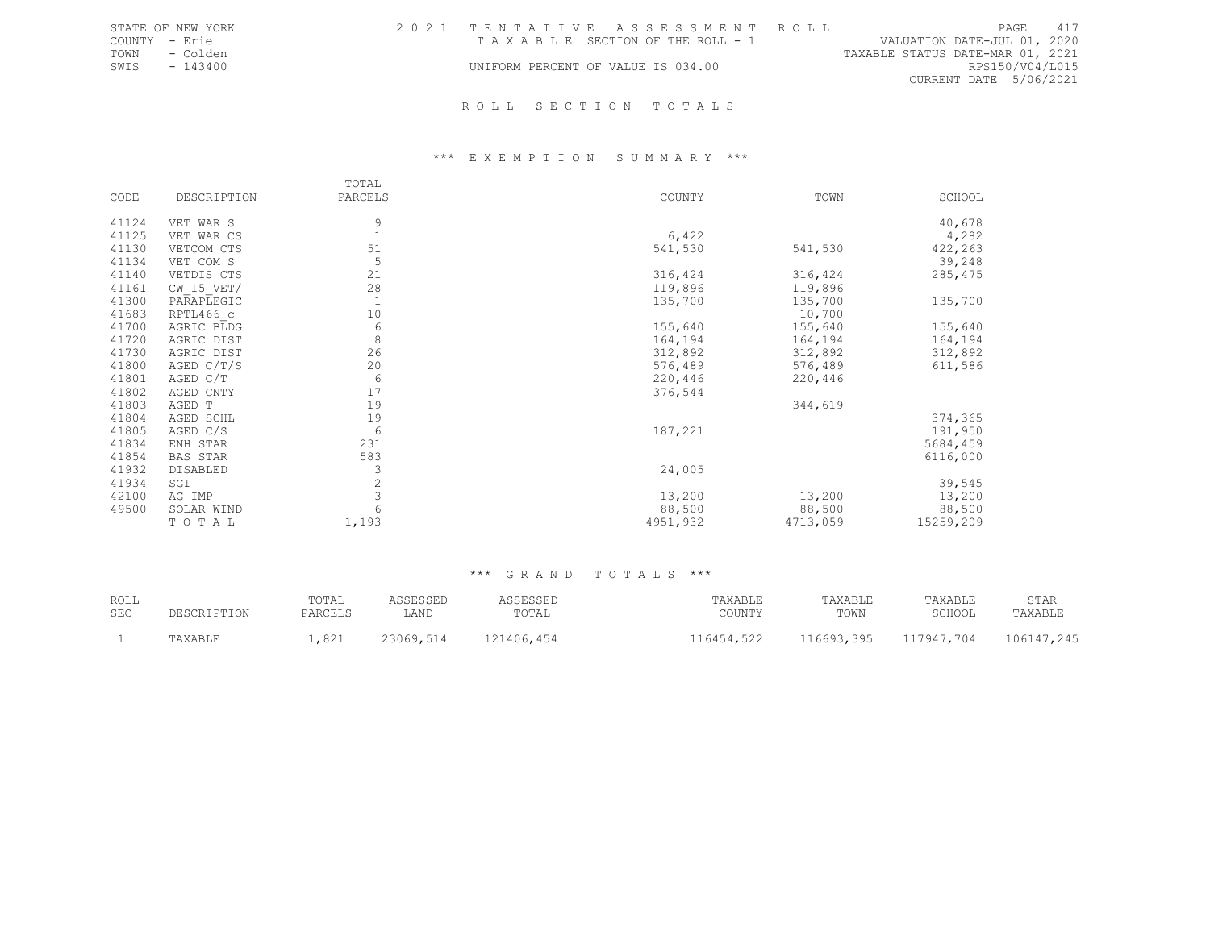|               | STATE OF NEW YORK |                                    |  | 2021 TENTATIVE ASSESSMENT ROLL  |                                  |                        | PAGE            | 417 |
|---------------|-------------------|------------------------------------|--|---------------------------------|----------------------------------|------------------------|-----------------|-----|
| COUNTY - Erie |                   |                                    |  | TAXABLE SECTION OF THE ROLL - 1 | VALUATION DATE-JUL 01, 2020      |                        |                 |     |
| TOWN          | - Colden          |                                    |  |                                 | TAXABLE STATUS DATE-MAR 01, 2021 |                        |                 |     |
| SWIS          | $-143400$         | UNIFORM PERCENT OF VALUE IS 034.00 |  |                                 |                                  |                        | RPS150/V04/L015 |     |
|               |                   |                                    |  |                                 |                                  | CURRENT DATE 5/06/2021 |                 |     |
|               |                   |                                    |  |                                 |                                  |                        |                 |     |
|               |                   | ROLL SECTION TOTALS                |  |                                 |                                  |                        |                 |     |

# \*\*\* E X E M P T I O N S U M M A R Y \*\*\*

|       |                 | TOTAL         |          |          |           |
|-------|-----------------|---------------|----------|----------|-----------|
| CODE  | DESCRIPTION     | PARCELS       | COUNTY   | TOWN     | SCHOOL    |
| 41124 | VET WAR S       | 9             |          |          | 40,678    |
| 41125 | VET WAR CS      | $\mathbf{1}$  | 6,422    |          | 4,282     |
| 41130 | VETCOM CTS      | 51            | 541,530  | 541,530  | 422,263   |
| 41134 | VET COM S       | 5             |          |          | 39,248    |
| 41140 | VETDIS CTS      | 21            | 316,424  | 316,424  | 285, 475  |
| 41161 | $CW$ 15 VET/    | 28            | 119,896  | 119,896  |           |
| 41300 | PARAPLEGIC      | $\mathbf{1}$  | 135,700  | 135,700  | 135,700   |
| 41683 | RPTL466 c       | 10            |          | 10,700   |           |
| 41700 | AGRIC BLDG      | 6             | 155,640  | 155,640  | 155,640   |
| 41720 | AGRIC DIST      | 8             | 164,194  | 164,194  | 164,194   |
| 41730 | AGRIC DIST      | 26            | 312,892  | 312,892  | 312,892   |
| 41800 | AGED C/T/S      | 20            | 576,489  | 576,489  | 611,586   |
| 41801 | AGED C/T        | 6             | 220,446  | 220,446  |           |
| 41802 | AGED CNTY       | 17            | 376,544  |          |           |
| 41803 | AGED T          | 19            |          | 344,619  |           |
| 41804 | AGED SCHL       | 19            |          |          | 374,365   |
| 41805 | AGED C/S        | 6             | 187,221  |          | 191,950   |
| 41834 | ENH STAR        | 231           |          |          | 5684,459  |
| 41854 | <b>BAS STAR</b> | 583           |          |          | 6116,000  |
| 41932 | DISABLED        | 3             | 24,005   |          |           |
| 41934 | SGI             | $\frac{2}{3}$ |          |          | 39,545    |
| 42100 | AG IMP          |               | 13,200   | 13,200   | 13,200    |
| 49500 | SOLAR WIND      |               | 88,500   | 88,500   | 88,500    |
|       | TO TAL          | 1,193         | 4951,932 | 4713,059 | 15259,209 |

| ROLL | DESCRIPTION | TOTAL   | ASSESSED  | ASSESSED   | TAXABLE    | TAXABLE    | TAXABLE    | STAR       |
|------|-------------|---------|-----------|------------|------------|------------|------------|------------|
| SEC  |             | PARCELS | LAND      | TOTAL      | COUNTY     | TOWN       | SCHOOL     | TAXABLE    |
|      | TAXABLE     | ,821    | 23069,514 | 121406,454 | 116454,522 | 116693,395 | 117947.704 | 106147,245 |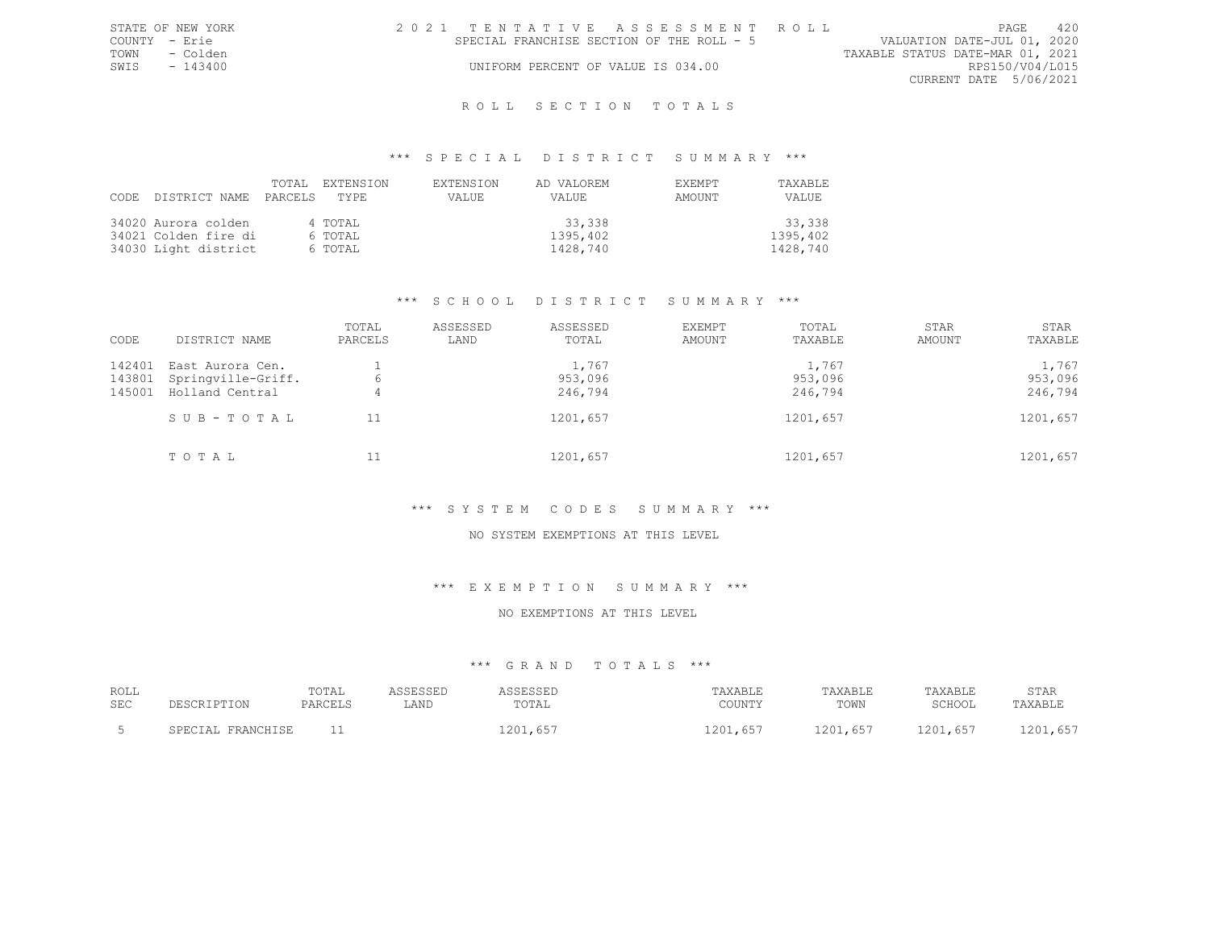|               | STATE OF NEW YORK | 2021 TENTATIVE ASSESSMENT ROLL |                                           |  |  |  |  |                                  | PAGE | 420             |
|---------------|-------------------|--------------------------------|-------------------------------------------|--|--|--|--|----------------------------------|------|-----------------|
| COUNTY - Erie |                   |                                | SPECIAL FRANCHISE SECTION OF THE ROLL - 5 |  |  |  |  | VALUATION DATE-JUL 01, 2020      |      |                 |
|               | TOWN - Colden     |                                |                                           |  |  |  |  | TAXABLE STATUS DATE-MAR 01, 2021 |      |                 |
|               | SWIS - 143400     |                                | UNIFORM PERCENT OF VALUE IS 034.00        |  |  |  |  |                                  |      | RPS150/V04/L015 |
|               |                   |                                |                                           |  |  |  |  | CURRENT DATE 5/06/2021           |      |                 |
|               |                   |                                |                                           |  |  |  |  |                                  |      |                 |

### \*\*\* S P E C I A L D I S T R I C T S U M M A R Y \*\*\*

| CODE DISTRICT NAME PARCELS TYPE | TOTAL. | EXTENSION | <b>EXTENSION</b><br>VALUE | AD VALOREM<br>VALUE | <b>EXEMPT</b><br>AMOUNT | <b>TAXABLE</b><br>VALUE |
|---------------------------------|--------|-----------|---------------------------|---------------------|-------------------------|-------------------------|
| 34020 Aurora colden             |        | 4 TOTAL   |                           | 33,338              |                         | 33,338                  |
| 34021 Colden fire di            |        | 6 TOTAL   |                           | 1395,402            |                         | 1395,402                |
| 34030 Light district            |        | 6 TOTAL   |                           | 1428,740            |                         | 1428,740                |

#### \*\*\* S C H O O L D I S T R I C T S U M M A R Y \*\*\*

| CODE                       | DISTRICT NAME                                             | TOTAL<br>PARCELS | ASSESSED<br>LAND | ASSESSED<br>TOTAL           | EXEMPT<br>AMOUNT | TOTAL<br>TAXABLE            | STAR<br>AMOUNT | STAR<br>TAXABLE             |
|----------------------------|-----------------------------------------------------------|------------------|------------------|-----------------------------|------------------|-----------------------------|----------------|-----------------------------|
| 142401<br>143801<br>145001 | East Aurora Cen.<br>Springville-Griff.<br>Holland Central | 6<br>4           |                  | 1,767<br>953,096<br>246,794 |                  | 1,767<br>953,096<br>246,794 |                | 1,767<br>953,096<br>246,794 |
|                            | SUB-TOTAL                                                 | 11               |                  | 1201,657                    |                  | 1201,657                    |                | 1201,657                    |
|                            | TOTAL                                                     |                  |                  | 1201,657                    |                  | 1201,657                    |                | 1201,657                    |

#### \*\*\* S Y S T E M C O D E S S U M M A R Y \*\*\*

#### NO SYSTEM EXEMPTIONS AT THIS LEVEL

#### \*\*\* E X E M P T I O N S U M M A R Y \*\*\*

#### NO EXEMPTIONS AT THIS LEVEL

| ROLL<br>SEC | DE SCRIPTON           | TOTAL<br>PARCELS | <i>\</i> C C T C C T T<br>LAND | ASSESSED<br>TOTAI | TAXABLE<br>COUNTY | TAXABLE<br>TOWN | TAXABLE<br>SCHOOL | STAR<br>TAXABLE |
|-------------|-----------------------|------------------|--------------------------------|-------------------|-------------------|-----------------|-------------------|-----------------|
|             | FRANCHISE<br>SPECIAL. |                  |                                | 1201.657          | 1201,657          | 1201,657        | 1201,657          | 1201,657        |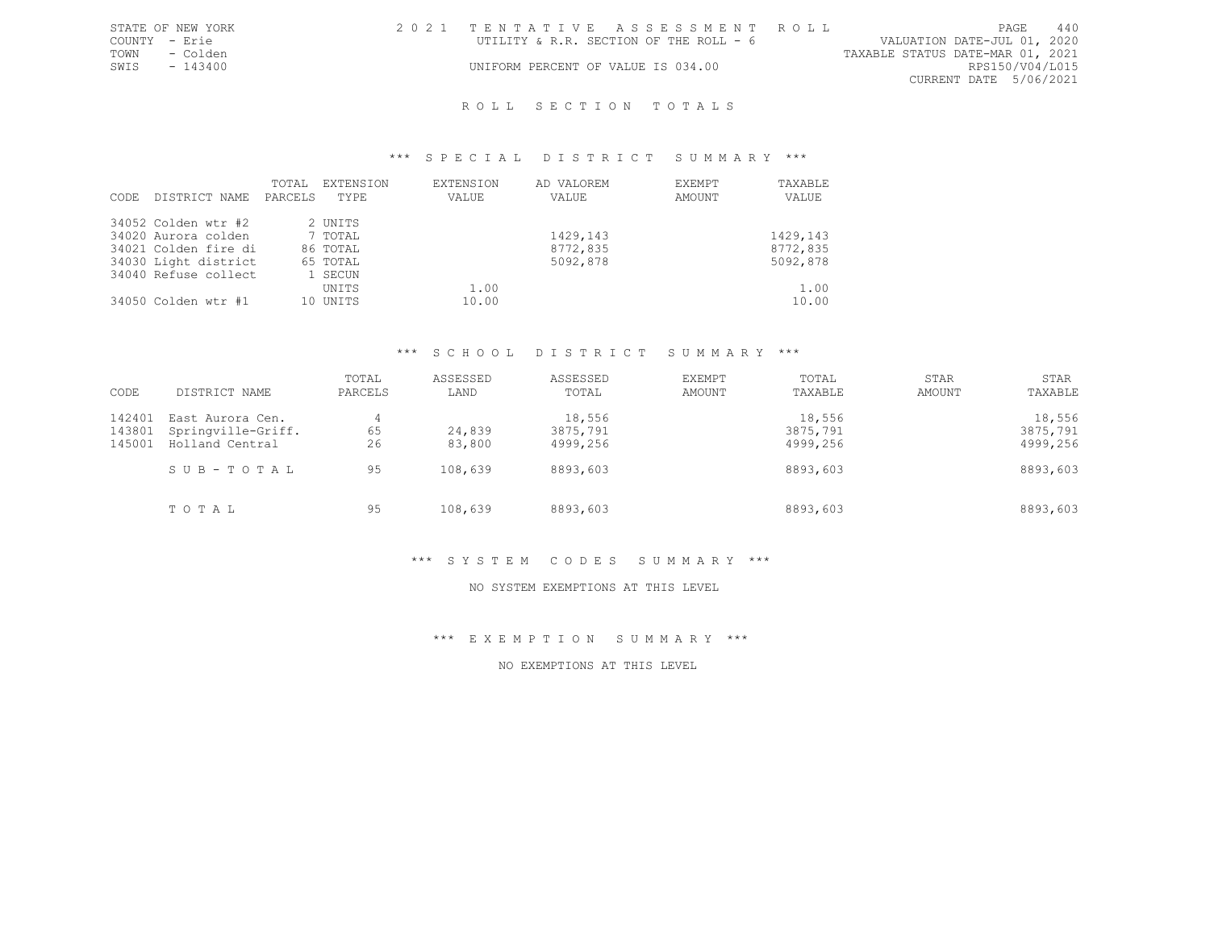|               | STATE OF NEW YORK | 2021 TENTATIVE ASSESSMENT ROLL         |  |  |                                  |                        | <b>PAGE</b> | 440 |
|---------------|-------------------|----------------------------------------|--|--|----------------------------------|------------------------|-------------|-----|
| COUNTY - Erie |                   | UTILITY & R.R. SECTION OF THE ROLL - 6 |  |  | VALUATION DATE-JUL 01, 2020      |                        |             |     |
| TOWN          | - Colden          |                                        |  |  | TAXABLE STATUS DATE-MAR 01, 2021 |                        |             |     |
| SWIS          | - 143400          | UNIFORM PERCENT OF VALUE IS 034.00     |  |  |                                  | RPS150/V04/L015        |             |     |
|               |                   |                                        |  |  |                                  | CURRENT DATE 5/06/2021 |             |     |
|               |                   |                                        |  |  |                                  |                        |             |     |

#### \*\*\* S P E C I A L D I S T R I C T S U M M A R Y \*\*\*

| CODE | DISTRICT NAME        | TOTAL<br>PARCELS | EXTENSION<br>TYPE | <b>EXTENSION</b><br>VALUE | AD VALOREM<br>VALUE | EXEMPT<br>AMOUNT | TAXABLE<br>VALUE |
|------|----------------------|------------------|-------------------|---------------------------|---------------------|------------------|------------------|
|      | 34052 Colden wtr #2  |                  | 2 UNITS           |                           |                     |                  |                  |
|      | 34020 Aurora colden  |                  | 7 TOTAL           |                           | 1429,143            |                  | 1429,143         |
|      | 34021 Colden fire di |                  | 86 TOTAL          |                           | 8772,835            |                  | 8772,835         |
|      | 34030 Light district |                  | 65 TOTAL          |                           | 5092,878            |                  | 5092,878         |
|      | 34040 Refuse collect |                  | 1 SECUN           |                           |                     |                  |                  |
|      |                      |                  | UNITS             | 1.00                      |                     |                  | 1.00             |
|      | 34050 Colden wtr #1  |                  | 10 UNITS          | 10.00                     |                     |                  | 10.00            |

#### \*\*\* S C H O O L D I S T R I C T S U M M A R Y \*\*\*

| CODE             | DISTRICT NAME                          | TOTAL<br>PARCELS | ASSESSED<br>LAND | ASSESSED<br>TOTAL  | EXEMPT<br>AMOUNT | TOTAL<br>TAXABLE   | STAR<br>AMOUNT | STAR<br>TAXABLE    |
|------------------|----------------------------------------|------------------|------------------|--------------------|------------------|--------------------|----------------|--------------------|
| 142401<br>143801 | East Aurora Cen.<br>Springville-Griff. | 4<br>65          | 24,839           | 18,556<br>3875,791 |                  | 18,556<br>3875,791 |                | 18,556<br>3875,791 |
| 145001           | Holland Central                        | 26               | 83,800           | 4999,256           |                  | 4999,256           |                | 4999,256           |
|                  | SUB-TOTAL                              | 95               | 108,639          | 8893,603           |                  | 8893,603           |                | 8893,603           |
|                  | TOTAL                                  | 95               | 108,639          | 8893,603           |                  | 8893,603           |                | 8893,603           |

### \*\*\* S Y S T E M C O D E S S U M M A R Y \*\*\*

#### NO SYSTEM EXEMPTIONS AT THIS LEVEL

\*\*\* E X E M P T I O N S U M M A R Y \*\*\*

NO EXEMPTIONS AT THIS LEVEL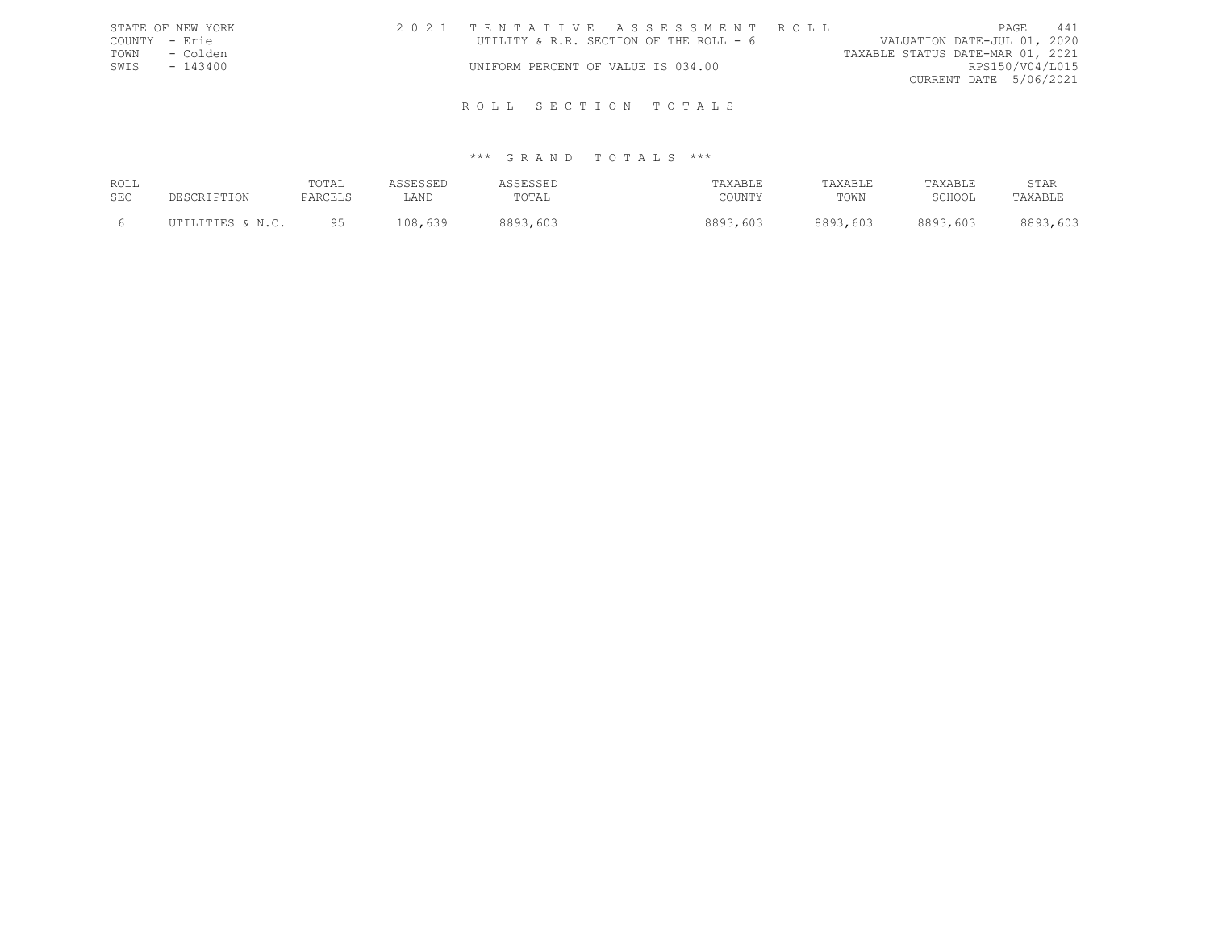| STATE OF NEW YORK | 2021 TENTATIVE ASSESSMENT ROLL                                        | PAGE                   | 441 |
|-------------------|-----------------------------------------------------------------------|------------------------|-----|
| COUNTY - Erie     | UTILITY & R.R. SECTION OF THE ROLL - 6<br>VALUATION DATE-JUL 01, 2020 |                        |     |
| - Colden<br>TOWN  | TAXABLE STATUS DATE-MAR 01, 2021                                      |                        |     |
| SWIS<br>$-143400$ | UNIFORM PERCENT OF VALUE IS 034.00                                    | RPS150/V04/L015        |     |
|                   |                                                                       | CURRENT DATE 5/06/2021 |     |
|                   |                                                                       |                        |     |
|                   | ROLL SECTION TOTALS                                                   |                        |     |

| ROLL<br>SEC | DESCRIPTION      | TOTAI<br>PARCELS | ASSESSED<br>∴AND | ASSESSED<br>TOTAL | TAXABLE<br>COUNTY | TAXABLE<br>TOWN | TAXABLE<br>SCHOOL | STAR<br>TAXABLE |
|-------------|------------------|------------------|------------------|-------------------|-------------------|-----------------|-------------------|-----------------|
|             | UTILITIES & N.C. | QF               | 108,639          | 8893,603          | 8893,603          | 8893,603        | 8893,603          | 8893,603        |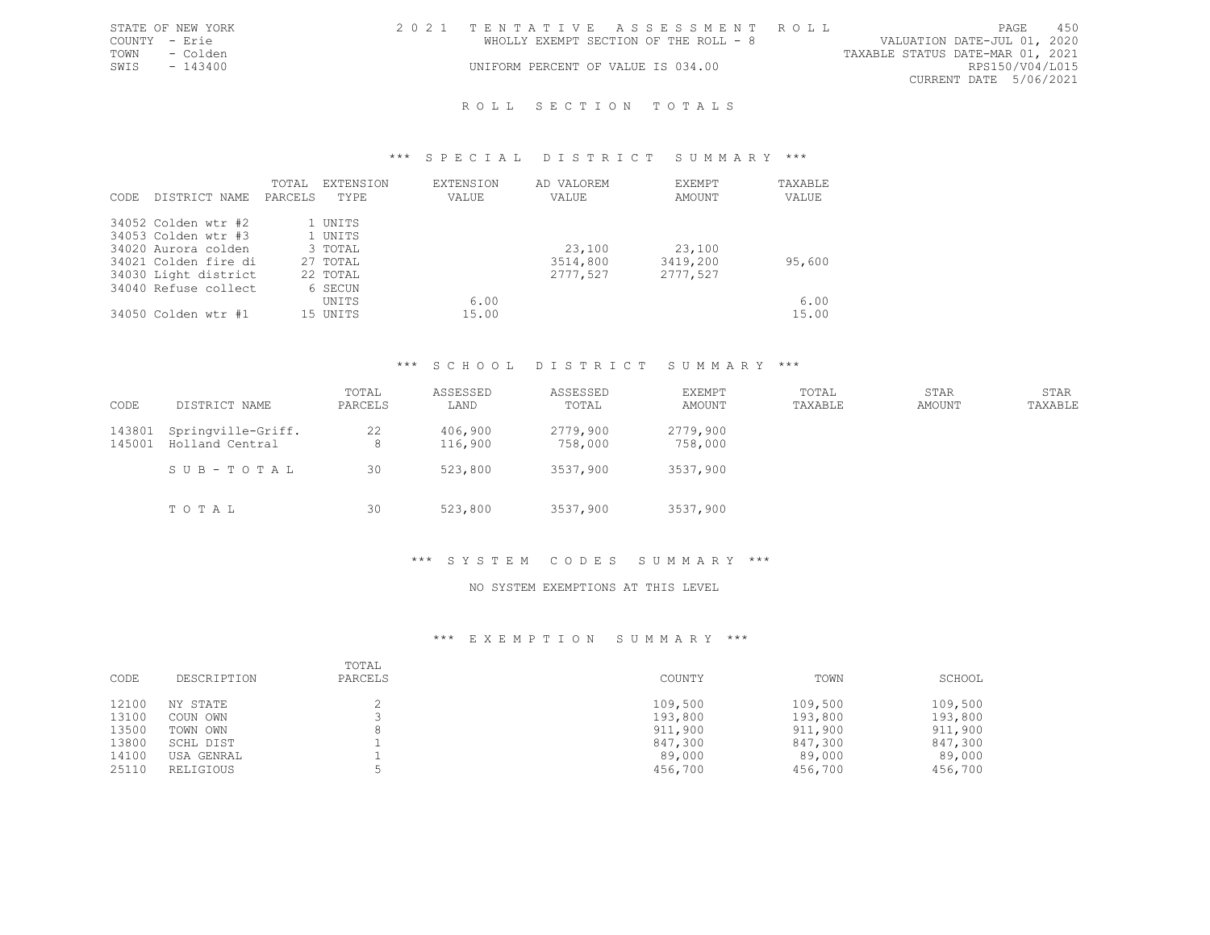|               | STATE OF NEW YORK | 2021 TENTATIVE ASSESSMENT ROLL        |  |                                  |                        | PAGE. | 450 |
|---------------|-------------------|---------------------------------------|--|----------------------------------|------------------------|-------|-----|
| COUNTY - Erie |                   | WHOLLY EXEMPT SECTION OF THE ROLL - 8 |  | VALUATION DATE-JUL 01, 2020      |                        |       |     |
| TOWN          | - Colden          |                                       |  | TAXABLE STATUS DATE-MAR 01, 2021 |                        |       |     |
| SWIS          | - 143400          | UNIFORM PERCENT OF VALUE IS 034.00    |  |                                  | RPS150/V04/L015        |       |     |
|               |                   |                                       |  |                                  | CURRENT DATE 5/06/2021 |       |     |
|               |                   |                                       |  |                                  |                        |       |     |

#### \*\*\* S P E C I A L D I S T R I C T S U M M A R Y \*\*\*

| CODE | DISTRICT NAME        | TOTAL<br>PARCELS | <b>EXTENSION</b><br>TYPE. | EXTENSION<br>VALUE | AD VALOREM<br>VALUE | EXEMPT<br>AMOUNT | TAXABLE<br>VALUE |
|------|----------------------|------------------|---------------------------|--------------------|---------------------|------------------|------------------|
|      | 34052 Colden wtr #2  |                  | 1 UNITS                   |                    |                     |                  |                  |
|      | 34053 Colden wtr #3  |                  | 1 UNITS                   |                    |                     |                  |                  |
|      | 34020 Aurora colden  |                  | 3 TOTAL                   |                    | 23,100              | 23,100           |                  |
|      | 34021 Colden fire di |                  | 27 TOTAL                  |                    | 3514,800            | 3419,200         | 95,600           |
|      | 34030 Light district |                  | 22 TOTAL                  |                    | 2777,527            | 2777,527         |                  |
|      | 34040 Refuse collect |                  | 6 SECUN                   |                    |                     |                  |                  |
|      |                      |                  | UNITS                     | 6.00               |                     |                  | 6.00             |
|      | 34050 Colden wtr #1  |                  | 15 UNTTS                  | 15.00              |                     |                  | 15.00            |

# \*\*\* S C H O O L D I S T R I C T S U M M A R Y \*\*\*

| CODE             | DISTRICT NAME                         | TOTAL<br>PARCELS | ASSESSED<br>LAND   | ASSESSED<br>TOTAL   | EXEMPT<br>AMOUNT    | TOTAL<br>TAXABLE | STAR<br>AMOUNT | STAR<br>TAXABLE |
|------------------|---------------------------------------|------------------|--------------------|---------------------|---------------------|------------------|----------------|-----------------|
| 143801<br>145001 | Springville-Griff.<br>Holland Central | 22<br>8          | 406,900<br>116,900 | 2779,900<br>758,000 | 2779,900<br>758,000 |                  |                |                 |
|                  | SUB-TOTAL                             | 30               | 523,800            | 3537,900            | 3537,900            |                  |                |                 |
|                  | TOTAL                                 | 30               | 523,800            | 3537,900            | 3537,900            |                  |                |                 |

### \*\*\* S Y S T E M C O D E S S U M M A R Y \*\*\*

#### NO SYSTEM EXEMPTIONS AT THIS LEVEL

| CODE  | DESCRIPTION | TOTAL<br>PARCELS | COUNTY  | TOWN    | SCHOOL  |
|-------|-------------|------------------|---------|---------|---------|
| 12100 | NY STATE    |                  | 109,500 | 109,500 | 109,500 |
| 13100 | COUN OWN    |                  | 193,800 | 193,800 | 193,800 |
| 13500 | TOWN OWN    |                  | 911,900 | 911,900 | 911,900 |
| 13800 | SCHL DIST   |                  | 847,300 | 847,300 | 847,300 |
| 14100 | USA GENRAL  |                  | 89,000  | 89,000  | 89,000  |
| 25110 | RELIGIOUS   |                  | 456,700 | 456,700 | 456,700 |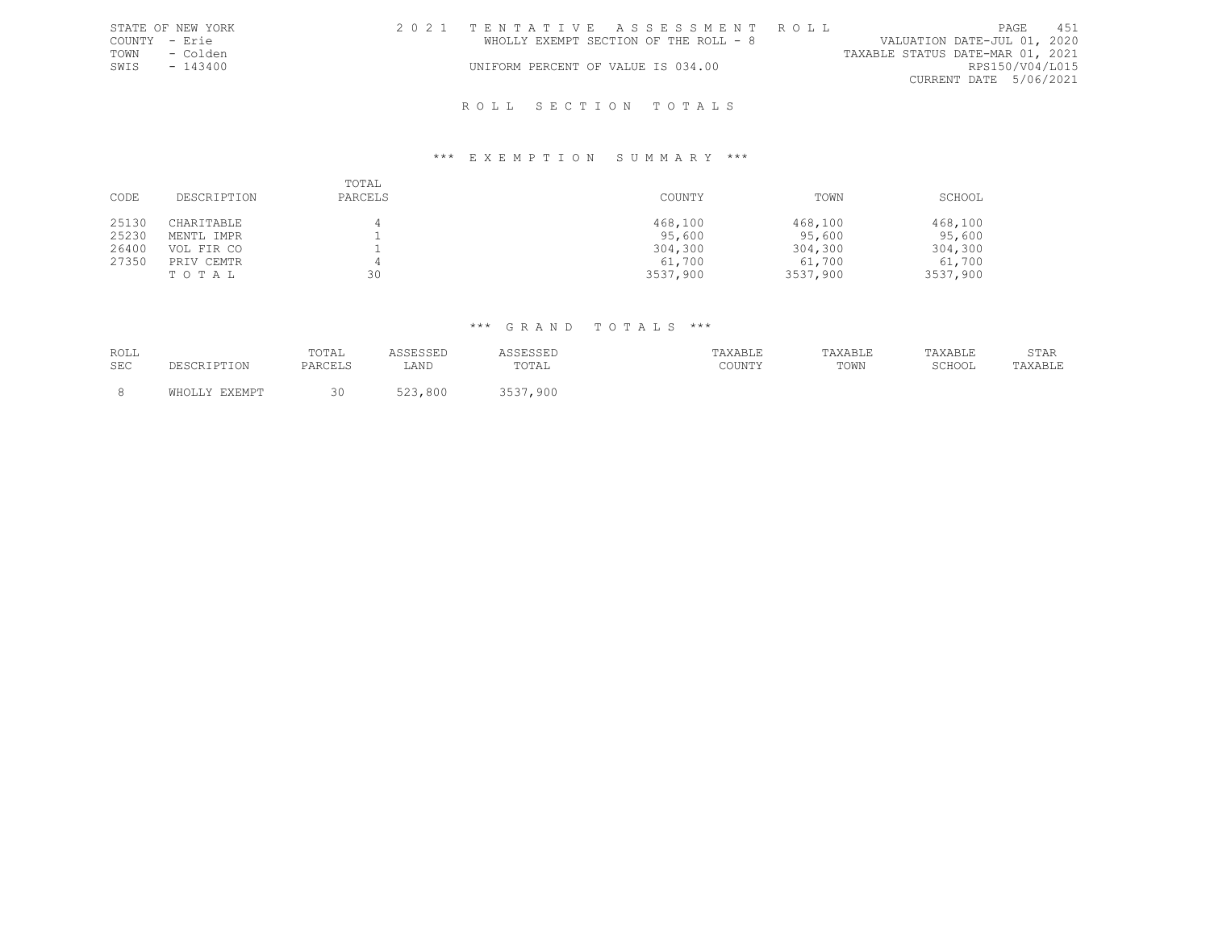|               | STATE OF NEW YORK |  |  | 2021 TENTATIVE ASSESSMENT ROLL        |  |                                  |                        | PAGE | 451 |
|---------------|-------------------|--|--|---------------------------------------|--|----------------------------------|------------------------|------|-----|
| COUNTY - Erie |                   |  |  | WHOLLY EXEMPT SECTION OF THE ROLL - 8 |  | VALUATION DATE-JUL 01, 2020      |                        |      |     |
| TOWN          | - Colden          |  |  |                                       |  | TAXABLE STATUS DATE-MAR 01, 2021 |                        |      |     |
| SWIS          | $-143400$         |  |  | UNIFORM PERCENT OF VALUE IS 034.00    |  |                                  | RPS150/V04/L015        |      |     |
|               |                   |  |  |                                       |  |                                  | CURRENT DATE 5/06/2021 |      |     |
|               |                   |  |  | ROLL SECTION TOTALS                   |  |                                  |                        |      |     |

#### \*\*\* E X E M P T I O N S U M M A R Y \*\*\*

| CODE           | DESCRIPTION                       | TOTAL<br>PARCELS | COUNTY                        | TOWN                          | SCHOOL                        |
|----------------|-----------------------------------|------------------|-------------------------------|-------------------------------|-------------------------------|
| 25130<br>25230 | CHARITABLE<br>MENTL IMPR          |                  | 468,100<br>95,600             | 468,100<br>95,600             | 468,100<br>95,600             |
| 26400<br>27350 | VOL FIR CO<br>PRIV CEMTR<br>TOTAL | 30               | 304,300<br>61,700<br>3537,900 | 304,300<br>61,700<br>3537,900 | 304,300<br>61,700<br>3537,900 |

| ROLL |               | TOTAL   | ASSESSED | ASSESSED | TAXABLE | TAXABLE | TAXABLE | STAR    |
|------|---------------|---------|----------|----------|---------|---------|---------|---------|
| SEC  | DESCRIPTION   | PARCELS | LAND     | TOTAL    | COUNTY  | TOWN    | SCHOOL  | TAXABLE |
|      | WHOLLY EXEMPT | 30      | 523,800  | 3537,900 |         |         |         |         |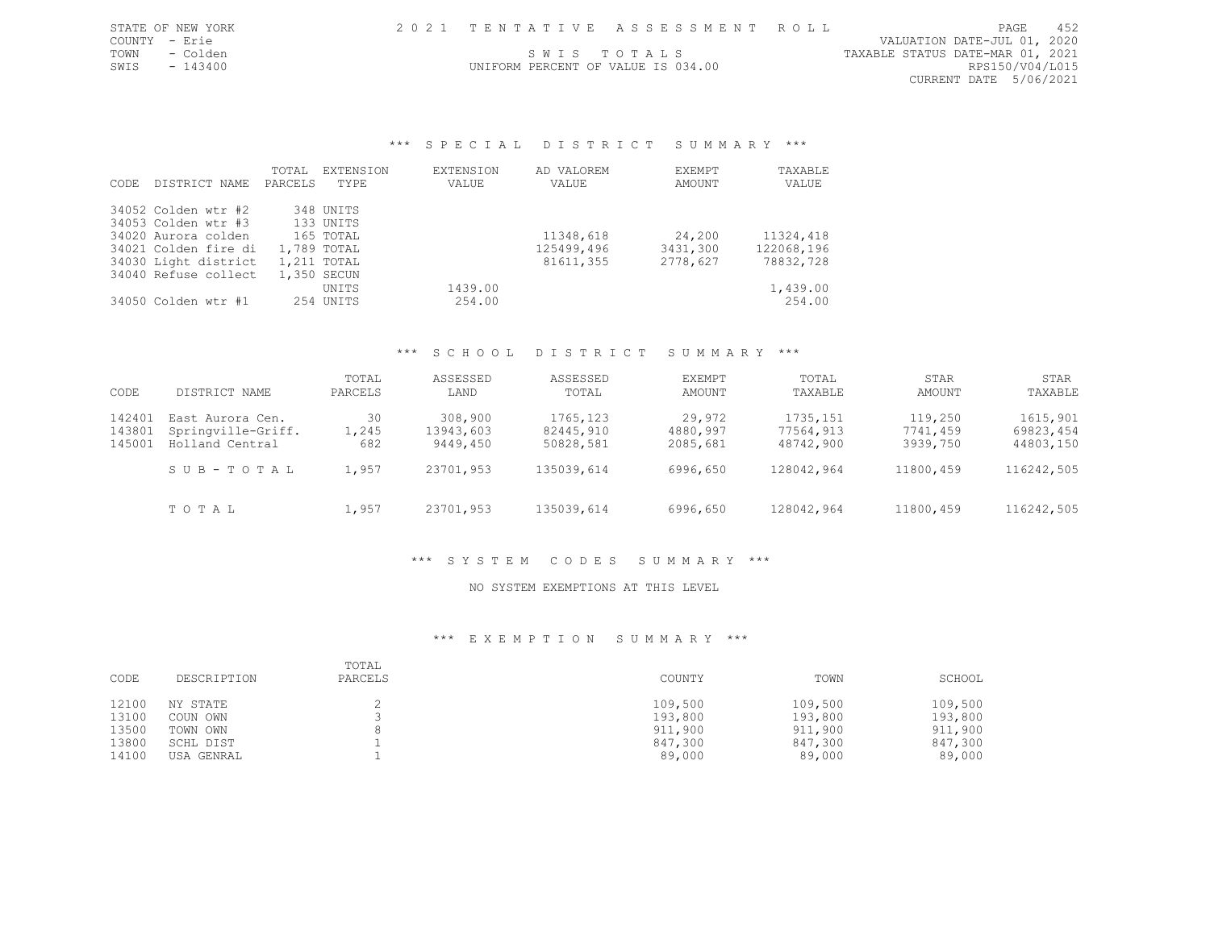| STATE OF NEW YORK |  | 1 TENTATIVE ASSESSMENT ROLL | PAGE                        |  |
|-------------------|--|-----------------------------|-----------------------------|--|
| COUNTY            |  |                             | VALUATION DATE-JUL 01, 2020 |  |

COUNTY - Erie VALUATION DATE-JUL 01, 2020 TOWN - Colden SWIS TO TALS SOME TAXABLE STATUS DATE-MAR 01, 2021<br>SWIS - 143400 SWIS - 143400 CURRENT DATE 5/06/2021

# UNIFORM PERCENT OF VALUE IS 034.00

#### \*\*\* S P E C I A L D I S T R I C T S U M M A R Y \*\*\*

|       |                      | TOTAL   | EXTENSION   | <b>EXTENSION</b> | AD VALOREM | EXEMPT   | TAXABLE    |
|-------|----------------------|---------|-------------|------------------|------------|----------|------------|
| CODE. | DISTRICT NAME        | PARCELS | TYPF.       | VALUE            | VALUE      | AMOUNT   | VALUE      |
|       | 34052 Colden wtr #2  |         | 348 UNITS   |                  |            |          |            |
|       | 34053 Colden wtr #3  |         | 133 UNITS   |                  |            |          |            |
|       | 34020 Aurora colden  |         | 165 TOTAL   |                  | 11348,618  | 24,200   | 11324,418  |
|       | 34021 Colden fire di |         | 1,789 TOTAL |                  | 125499,496 | 3431,300 | 122068,196 |
|       | 34030 Light district |         | 1,211 TOTAL |                  | 81611,355  | 2778,627 | 78832,728  |
|       | 34040 Refuse collect |         | 1,350 SECUN |                  |            |          |            |
|       |                      |         | UNITS       | 1439.00          |            |          | 1,439.00   |
|       | 34050 Colden wtr #1  |         | 254 UNITS   | 254.00           |            |          | 254.00     |

#### \*\*\* S C H O O L D I S T R I C T S U M M A R Y \*\*\*

| CODE   | DISTRICT NAME      | TOTAL<br>PARCELS | ASSESSED<br>LAND | ASSESSED<br>TOTAL | EXEMPT<br>AMOUNT | TOTAL<br>TAXABLE | STAR<br>AMOUNT | STAR<br>TAXABLE |
|--------|--------------------|------------------|------------------|-------------------|------------------|------------------|----------------|-----------------|
| 142401 | East Aurora Cen.   | 30               | 308,900          | 1765, 123         | 29,972           | 1735, 151        | 119,250        | 1615,901        |
| 143801 | Springville-Griff. | 1,245            | 13943,603        | 82445,910         | 4880,997         | 77564,913        | 7741,459       | 69823,454       |
| 145001 | Holland Central    | 682              | 9449,450         | 50828,581         | 2085,681         | 48742,900        | 3939,750       | 44803,150       |
|        | SUB-TOTAL          | 1,957            | 23701,953        | 135039,614        | 6996,650         | 128042,964       | 11800,459      | 116242,505      |
|        | TOTAL              | 1,957            | 23701,953        | 135039,614        | 6996,650         | 128042,964       | 11800,459      | 116242,505      |

#### \*\*\* S Y S T E M C O D E S S U M M A R Y \*\*\*

#### NO SYSTEM EXEMPTIONS AT THIS LEVEL

| CODE  | DESCRIPTION | TOTAL<br>PARCELS | COUNTY  | TOWN    | SCHOOL  |
|-------|-------------|------------------|---------|---------|---------|
| 12100 | NY STATE    |                  | 109,500 | 109,500 | 109,500 |
| 13100 | COUN OWN    |                  | 193,800 | 193,800 | 193,800 |
| 13500 | TOWN OWN    |                  | 911,900 | 911,900 | 911,900 |
| 13800 | SCHL DIST   |                  | 847,300 | 847,300 | 847,300 |
| 14100 | USA GENRAL  |                  | 89,000  | 89,000  | 89,000  |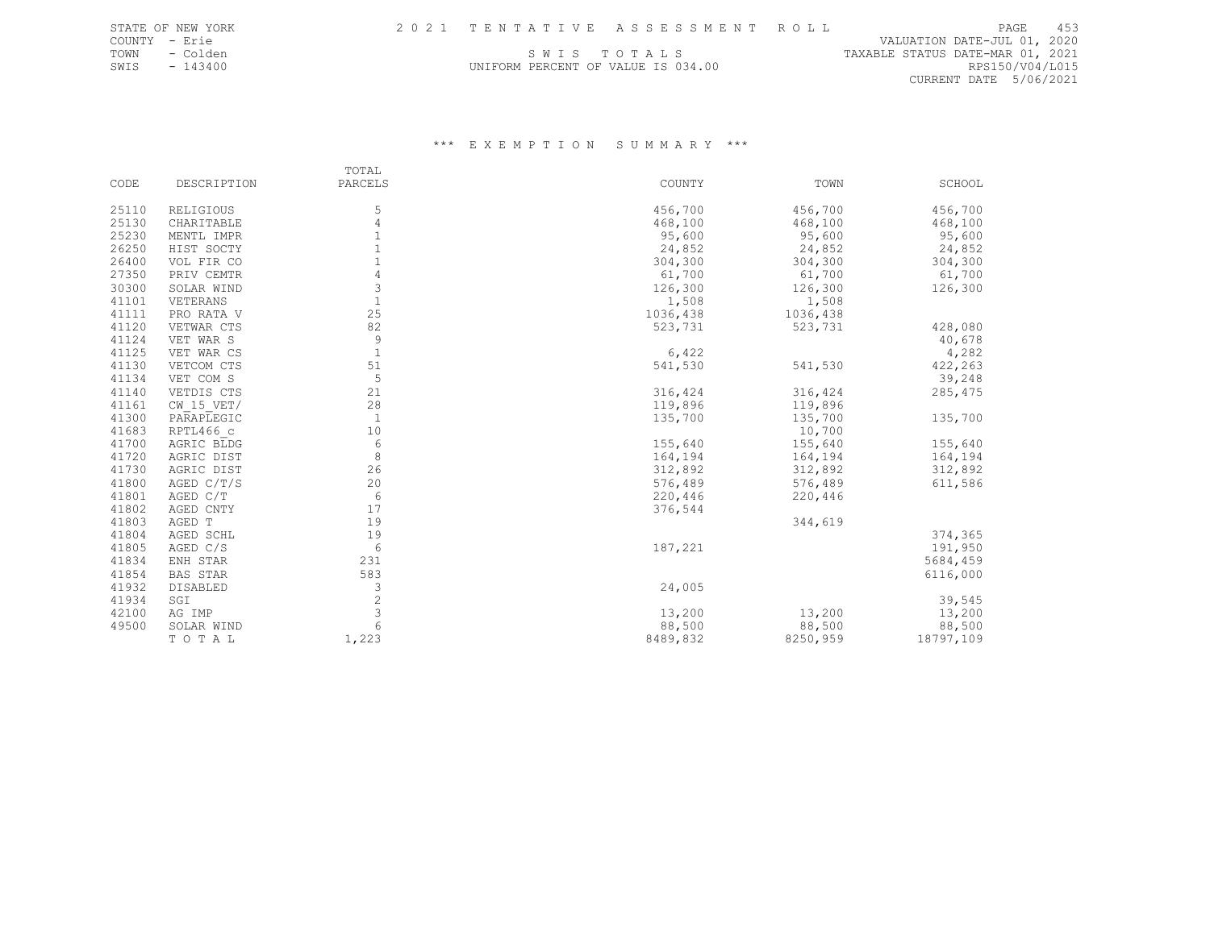COUNTY - Erie VALUATION DATE-JUL 01, 2020 TOWN - Colden Same Same Same Same Same Same Same States of the Colden States of the States of the States of the States of the States of the States of the States of the States of the States of the States of the States of th SWIS - 143400 **EXAMPLE EXAMPLE AND SERCENT OF VALUE IS 034.00** RPS150/V04/L015 CURRENT DATE 5/06/2021

|       |                 | TOTAL          |          |          |           |
|-------|-----------------|----------------|----------|----------|-----------|
| CODE  | DESCRIPTION     | PARCELS        | COUNTY   | TOWN     | SCHOOL    |
| 25110 | RELIGIOUS       | 5              | 456,700  | 456,700  | 456,700   |
| 25130 | CHARITABLE      | $\overline{4}$ | 468,100  | 468,100  | 468,100   |
| 25230 | MENTL IMPR      |                | 95,600   | 95,600   | 95,600    |
| 26250 | HIST SOCTY      |                | 24,852   | 24,852   | 24,852    |
| 26400 | VOL FIR CO      | $\mathbf{1}$   | 304,300  | 304,300  | 304,300   |
| 27350 | PRIV CEMTR      | $\overline{4}$ | 61,700   | 61,700   | 61,700    |
| 30300 | SOLAR WIND      | 3              | 126,300  | 126,300  | 126,300   |
| 41101 | VETERANS        | $\mathbf{1}$   | 1,508    | 1,508    |           |
| 41111 | PRO RATA V      | 25             | 1036,438 | 1036,438 |           |
| 41120 | VETWAR CTS      | 82             | 523,731  | 523,731  | 428,080   |
| 41124 | VET WAR S       | 9              |          |          | 40,678    |
| 41125 | VET WAR CS      | $\mathbf{1}$   | 6,422    |          | 4,282     |
| 41130 | VETCOM CTS      | 51             | 541,530  | 541,530  | 422,263   |
| 41134 | VET COM S       | 5              |          |          | 39,248    |
| 41140 | VETDIS CTS      | 21             | 316,424  | 316,424  | 285, 475  |
| 41161 | $CW$ 15 VET/    | 28             | 119,896  | 119,896  |           |
| 41300 | PARAPLEGIC      | $\overline{1}$ | 135,700  | 135,700  | 135,700   |
| 41683 | RPTL466 c       | 10             |          | 10,700   |           |
| 41700 | AGRIC BLDG      | 6              | 155,640  | 155,640  | 155,640   |
| 41720 | AGRIC DIST      | 8              | 164,194  | 164,194  | 164,194   |
| 41730 | AGRIC DIST      | 26             | 312,892  | 312,892  | 312,892   |
| 41800 | AGED C/T/S      | 20             | 576,489  | 576,489  | 611,586   |
| 41801 | AGED C/T        | 6              | 220,446  | 220,446  |           |
| 41802 | AGED CNTY       | 17             | 376,544  |          |           |
| 41803 | AGED T          | 19             |          | 344,619  |           |
| 41804 | AGED SCHL       | 19             |          |          | 374,365   |
| 41805 | AGED C/S        | 6              | 187,221  |          | 191,950   |
| 41834 | ENH STAR        | 231            |          |          | 5684,459  |
| 41854 | <b>BAS STAR</b> | 583            |          |          | 6116,000  |
| 41932 | DISABLED        | 3              | 24,005   |          |           |
| 41934 | SGI             | $\overline{2}$ |          |          | 39,545    |
| 42100 | AG IMP          | 3              | 13,200   | 13,200   | 13,200    |
| 49500 | SOLAR WIND      | 6              | 88,500   | 88,500   | 88,500    |
|       | TOTAL           | 1,223          | 8489,832 | 8250,959 | 18797,109 |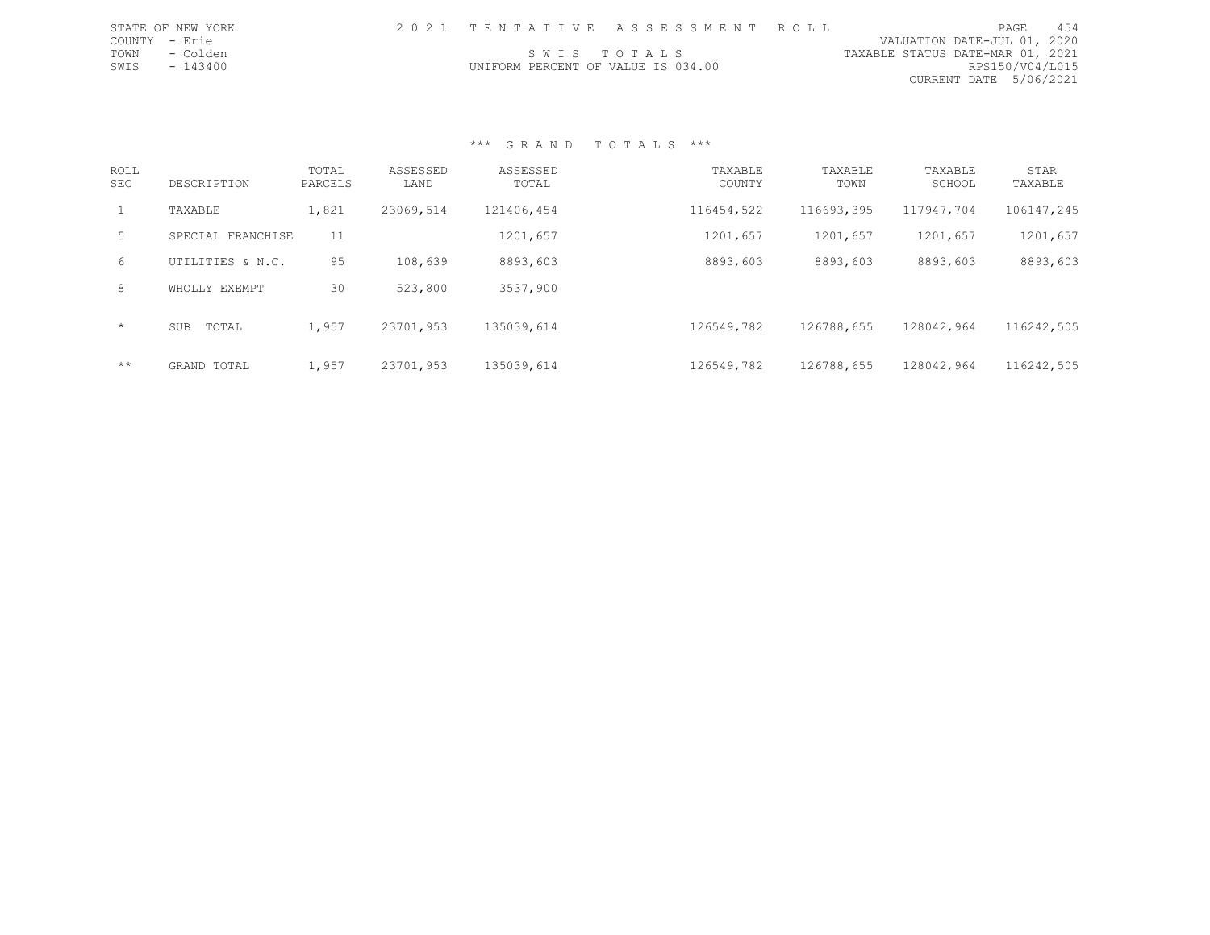| STATE OF NEW YORK |                                    | 2021 TENTATIVE ASSESSMENT ROLL | PAGE.                            | 454 |
|-------------------|------------------------------------|--------------------------------|----------------------------------|-----|
| COUNTY - Erie     |                                    |                                | VALUATION DATE-JUL 01, 2020      |     |
| TOWN - Colden     | SWIS TOTALS                        |                                | TAXABLE STATUS DATE-MAR 01, 2021 |     |
| SWIS - 143400     | UNIFORM PERCENT OF VALUE IS 034.00 |                                | RPS150/V04/L015                  |     |
|                   |                                    |                                | CURRENT DATE 5/06/2021           |     |
|                   |                                    |                                |                                  |     |

| <b>ROLL</b><br><b>SEC</b> | DESCRIPTION         | TOTAL<br>PARCELS | ASSESSED<br>LAND | ASSESSED<br>TOTAL | TAXABLE<br>COUNTY | TAXABLE<br>TOWN | TAXABLE<br>SCHOOL | STAR<br>TAXABLE |
|---------------------------|---------------------|------------------|------------------|-------------------|-------------------|-----------------|-------------------|-----------------|
| $\mathbf{1}$              | TAXABLE             | 1,821            | 23069,514        | 121406,454        | 116454,522        | 116693,395      | 117947,704        | 106147,245      |
| 5                         | SPECIAL FRANCHISE   | 11               |                  | 1201,657          | 1201,657          | 1201,657        | 1201,657          | 1201,657        |
| 6                         | UTILITIES & N.C.    | 95               | 108,639          | 8893,603          | 8893,603          | 8893,603        | 8893,603          | 8893,603        |
| 8                         | WHOLLY EXEMPT       | 30               | 523,800          | 3537,900          |                   |                 |                   |                 |
| $\star$                   | TOTAL<br><b>SUB</b> | 1,957            | 23701,953        | 135039,614        | 126549,782        | 126788,655      | 128042,964        | 116242,505      |
| $***$                     | GRAND TOTAL         | 1,957            | 23701,953        | 135039,614        | 126549,782        | 126788,655      | 128042,964        | 116242,505      |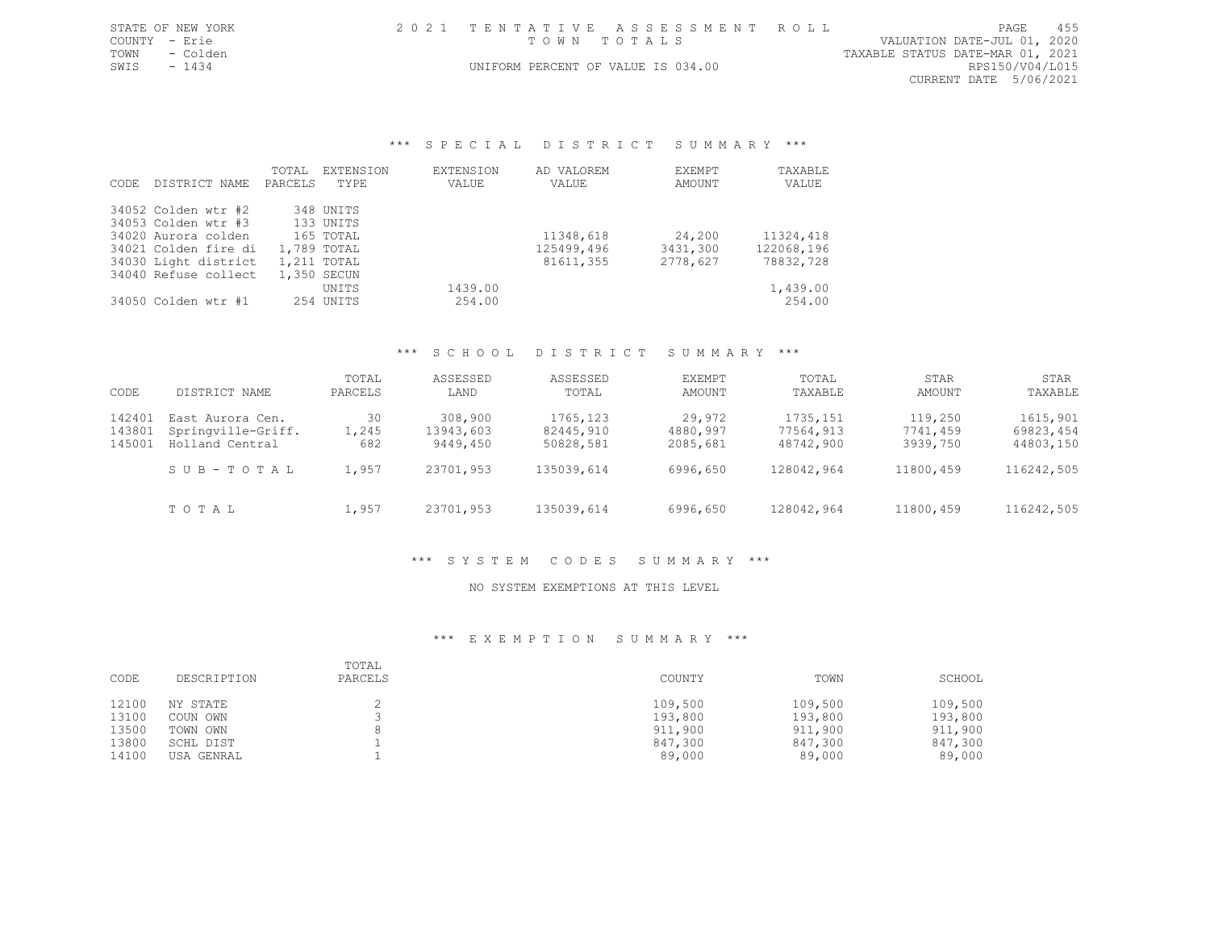|               | STATE OF NEW YORK | 2021 TENTATIVE ASSESSMENT ROLL     |  |                                  | PAGE                        | 455 |
|---------------|-------------------|------------------------------------|--|----------------------------------|-----------------------------|-----|
| COUNTY - Erie |                   | TOWN TOTALS                        |  |                                  | VALUATION DATE-JUL 01, 2020 |     |
|               | TOWN - Colden     |                                    |  | TAXABLE STATUS DATE-MAR 01, 2021 |                             |     |
| SWTS - 1434   |                   | UNIFORM PERCENT OF VALUE IS 034.00 |  |                                  | RPS150/V04/L015             |     |

CURRENT DATE 5/06/2021

#### \*\*\* SPECIAL DISTRICT SUMMARY \*\*\*

|       |                      | TOTAL   | EXTENSION   | <b>EXTENSION</b> | AD VALOREM | EXEMPT   | TAXABLE    |
|-------|----------------------|---------|-------------|------------------|------------|----------|------------|
| CODE. | DISTRICT NAME        | PARCELS | TYPF.       | VALUE            | VALUE      | AMOUNT   | VALUE      |
|       | 34052 Colden wtr #2  |         | 348 UNITS   |                  |            |          |            |
|       | 34053 Colden wtr #3  |         | 133 UNITS   |                  |            |          |            |
|       | 34020 Aurora colden  |         | 165 TOTAL   |                  | 11348,618  | 24,200   | 11324,418  |
|       | 34021 Colden fire di |         | 1,789 TOTAL |                  | 125499,496 | 3431,300 | 122068,196 |
|       | 34030 Light district |         | 1,211 TOTAL |                  | 81611,355  | 2778,627 | 78832,728  |
|       | 34040 Refuse collect |         | 1,350 SECUN |                  |            |          |            |
|       |                      |         | UNITS       | 1439.00          |            |          | 1,439.00   |
|       | 34050 Colden wtr #1  |         | 254 UNITS   | 254.00           |            |          | 254.00     |

#### \*\*\* S C H O O L D I S T R I C T S U M M A R Y \*\*\*

| CODE   | DISTRICT NAME      | TOTAL<br>PARCELS | ASSESSED<br>LAND | ASSESSED<br>TOTAL | EXEMPT<br>AMOUNT | TOTAL<br>TAXABLE | STAR<br>AMOUNT | STAR<br>TAXABLE |
|--------|--------------------|------------------|------------------|-------------------|------------------|------------------|----------------|-----------------|
| 142401 | East Aurora Cen.   | 30               | 308,900          | 1765, 123         | 29,972           | 1735, 151        | 119,250        | 1615,901        |
| 143801 | Springville-Griff. | 1,245            | 13943,603        | 82445,910         | 4880,997         | 77564,913        | 7741,459       | 69823,454       |
| 145001 | Holland Central    | 682              | 9449,450         | 50828,581         | 2085,681         | 48742,900        | 3939,750       | 44803,150       |
|        | SUB-TOTAL          | 1,957            | 23701,953        | 135039,614        | 6996,650         | 128042,964       | 11800,459      | 116242,505      |
|        | TOTAL              | 1,957            | 23701,953        | 135039,614        | 6996,650         | 128042,964       | 11800,459      | 116242,505      |

#### \*\*\* S Y S T E M C O D E S S U M M A R Y \*\*\*

#### NO SYSTEM EXEMPTIONS AT THIS LEVEL

| CODE  | DESCRIPTION | TOTAL<br>PARCELS | COUNTY  | TOWN    | SCHOOL  |
|-------|-------------|------------------|---------|---------|---------|
| 12100 | NY STATE    |                  | 109,500 | 109,500 | 109,500 |
| 13100 | COUN OWN    |                  | 193,800 | 193,800 | 193,800 |
| 13500 | TOWN OWN    |                  | 911,900 | 911,900 | 911,900 |
| 13800 | SCHL DIST   |                  | 847,300 | 847,300 | 847,300 |
| 14100 | USA GENRAL  |                  | 89,000  | 89,000  | 89,000  |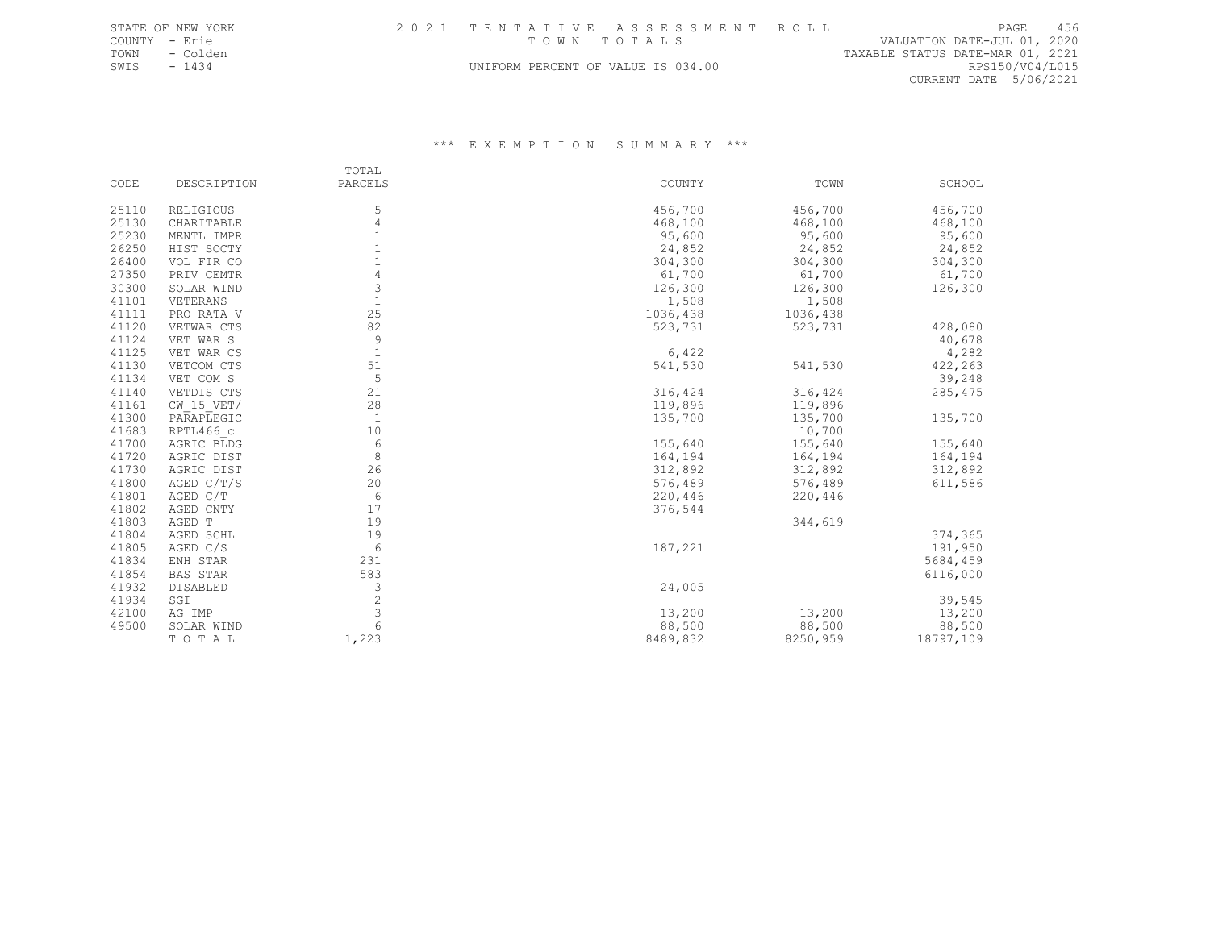|      | STATE OF NEW YORK |                                    | 2021 TENTATIVE ASSESSMENT ROLL |                                  | PAGE            | 456 |
|------|-------------------|------------------------------------|--------------------------------|----------------------------------|-----------------|-----|
|      | COUNTY - Erie     |                                    | TOWN TOTALS                    | VALUATION DATE-JUL 01, 2020      |                 |     |
| TOWN | - Colden          |                                    |                                | TAXABLE STATUS DATE-MAR 01, 2021 |                 |     |
| SWIS | - 1434            | UNIFORM PERCENT OF VALUE IS 034.00 |                                |                                  | RPS150/V04/L015 |     |

CURRENT DATE 5/06/2021

|       |                  | TOTAL          |          |          |           |
|-------|------------------|----------------|----------|----------|-----------|
| CODE  | DESCRIPTION      | PARCELS        | COUNTY   | TOWN     | SCHOOL    |
| 25110 | <b>RELIGIOUS</b> | 5              | 456,700  | 456,700  | 456,700   |
| 25130 | CHARITABLE       | 4              | 468,100  | 468,100  | 468,100   |
| 25230 | MENTL IMPR       |                | 95,600   | 95,600   | 95,600    |
| 26250 | HIST SOCTY       |                | 24,852   | 24,852   | 24,852    |
| 26400 | VOL FIR CO       | 1              | 304,300  | 304,300  | 304,300   |
| 27350 | PRIV CEMTR       | $\overline{4}$ | 61,700   | 61,700   | 61,700    |
| 30300 | SOLAR WIND       | 3              | 126,300  | 126,300  | 126,300   |
| 41101 | VETERANS         | $\mathbf{1}$   | 1,508    | 1,508    |           |
| 41111 | PRO RATA V       | 25             | 1036,438 | 1036,438 |           |
| 41120 | VETWAR CTS       | 82             | 523,731  | 523,731  | 428,080   |
| 41124 | VET WAR S        | 9              |          |          | 40,678    |
| 41125 | VET WAR CS       | $\mathbf{1}$   | 6,422    |          | 4,282     |
| 41130 | VETCOM CTS       | 51             | 541,530  | 541,530  | 422,263   |
| 41134 | VET COM S        | 5              |          |          | 39,248    |
| 41140 | VETDIS CTS       | 21             | 316,424  | 316,424  | 285, 475  |
| 41161 | $CW$ 15 $VET/$   | 28             | 119,896  | 119,896  |           |
| 41300 | PARAPLEGIC       | $\overline{1}$ | 135,700  | 135,700  | 135,700   |
| 41683 | RPTL466 c        | 10             |          | 10,700   |           |
| 41700 | AGRIC BLDG       | 6              | 155,640  | 155,640  | 155,640   |
| 41720 | AGRIC DIST       | 8              | 164,194  | 164,194  | 164,194   |
| 41730 | AGRIC DIST       | 26             | 312,892  | 312,892  | 312,892   |
| 41800 | AGED C/T/S       | 20             | 576,489  | 576,489  | 611,586   |
| 41801 | AGED C/T         | 6              | 220,446  | 220,446  |           |
| 41802 | AGED CNTY        | 17             | 376,544  |          |           |
| 41803 | AGED T           | 19             |          | 344,619  |           |
| 41804 | AGED SCHL        | 19             |          |          | 374,365   |
| 41805 | AGED C/S         | 6              | 187,221  |          | 191,950   |
| 41834 | ENH STAR         | 231            |          |          | 5684,459  |
| 41854 | <b>BAS STAR</b>  | 583            |          |          | 6116,000  |
| 41932 | DISABLED         | 3              | 24,005   |          |           |
| 41934 | SGI              | $\overline{2}$ |          |          | 39,545    |
| 42100 | AG IMP           | 3              | 13,200   | 13,200   | 13,200    |
| 49500 | SOLAR WIND       | 6              | 88,500   | 88,500   | 88,500    |
|       | TOTAL            | 1,223          | 8489,832 | 8250,959 | 18797,109 |